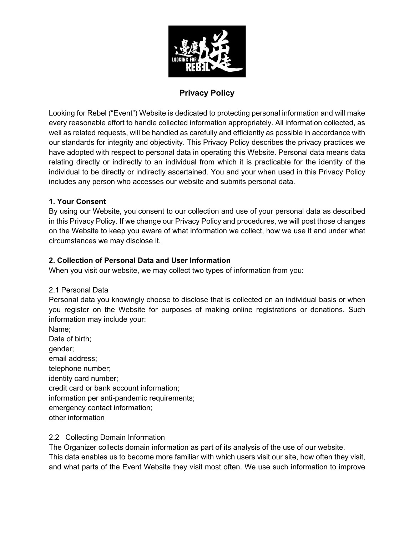

# **Privacy Policy**

Looking for Rebel ("Event") Website is dedicated to protecting personal information and will make every reasonable effort to handle collected information appropriately. All information collected, as well as related requests, will be handled as carefully and efficiently as possible in accordance with our standards for integrity and objectivity. This Privacy Policy describes the privacy practices we have adopted with respect to personal data in operating this Website. Personal data means data relating directly or indirectly to an individual from which it is practicable for the identity of the individual to be directly or indirectly ascertained. You and your when used in this Privacy Policy includes any person who accesses our website and submits personal data.

# **1. Your Consent**

By using our Website, you consent to our collection and use of your personal data as described in this Privacy Policy. If we change our Privacy Policy and procedures, we will post those changes on the Website to keep you aware of what information we collect, how we use it and under what circumstances we may disclose it.

# **2. Collection of Personal Data and User Information**

When you visit our website, we may collect two types of information from you:

# 2.1 Personal Data

Personal data you knowingly choose to disclose that is collected on an individual basis or when you register on the Website for purposes of making online registrations or donations. Such information may include your:

Name; Date of birth; gender; email address; telephone number; identity card number; credit card or bank account information; information per anti-pandemic requirements; emergency contact information; other information

# 2.2 Collecting Domain Information

The Organizer collects domain information as part of its analysis of the use of our website. This data enables us to become more familiar with which users visit our site, how often they visit, and what parts of the Event Website they visit most often. We use such information to improve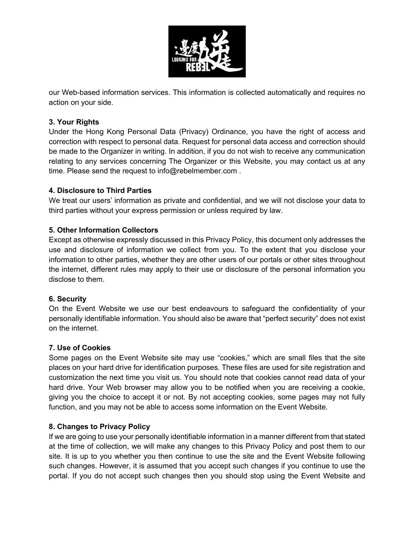

our Web-based information services. This information is collected automatically and requires no action on your side.

## **3. Your Rights**

Under the Hong Kong Personal Data (Privacy) Ordinance, you have the right of access and correction with respect to personal data. Request for personal data access and correction should be made to the Organizer in writing. In addition, if you do not wish to receive any communication relating to any services concerning The Organizer or this Website, you may contact us at any time. Please send the request to info@rebelmember.com.

## **4. Disclosure to Third Parties**

We treat our users' information as private and confidential, and we will not disclose your data to third parties without your express permission or unless required by law.

## **5. Other Information Collectors**

Except as otherwise expressly discussed in this Privacy Policy, this document only addresses the use and disclosure of information we collect from you. To the extent that you disclose your information to other parties, whether they are other users of our portals or other sites throughout the internet, different rules may apply to their use or disclosure of the personal information you disclose to them.

#### **6. Security**

On the Event Website we use our best endeavours to safeguard the confidentiality of your personally identifiable information. You should also be aware that "perfect security" does not exist on the internet.

#### **7. Use of Cookies**

Some pages on the Event Website site may use "cookies," which are small files that the site places on your hard drive for identification purposes. These files are used for site registration and customization the next time you visit us. You should note that cookies cannot read data of your hard drive. Your Web browser may allow you to be notified when you are receiving a cookie, giving you the choice to accept it or not. By not accepting cookies, some pages may not fully function, and you may not be able to access some information on the Event Website.

#### **8. Changes to Privacy Policy**

If we are going to use your personally identifiable information in a manner different from that stated at the time of collection, we will make any changes to this Privacy Policy and post them to our site. It is up to you whether you then continue to use the site and the Event Website following such changes. However, it is assumed that you accept such changes if you continue to use the portal. If you do not accept such changes then you should stop using the Event Website and